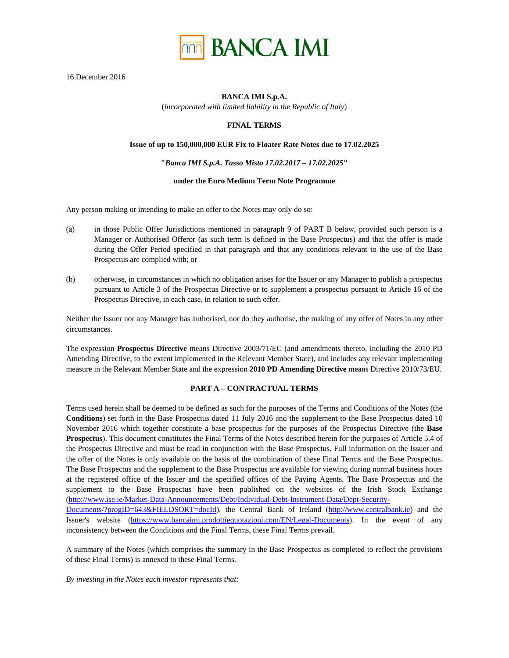

16 December 2016

#### **BANCA IMI S.p.A.**

(*incorporated with limited liability in the Republic of Italy*)

# **FINAL TERMS**

#### **Issue of up to 150,000,000 EUR Fix to Floater Rate Notes due to 17.02.2025**

#### **"***Banca IMI S.p.A. Tasso Misto 17.02.2017 – 17.02.2025***"**

#### **under the Euro Medium Term Note Programme**

Any person making or intending to make an offer to the Notes may only do so:

- (a) in those Public Offer Jurisdictions mentioned in paragraph 9 of PART B below, provided such person is a Manager or Authorised Offeror (as such term is defined in the Base Prospectus) and that the offer is made during the Offer Period specified in that paragraph and that any conditions relevant to the use of the Base Prospectus are complied with; or
- (b) otherwise, in circumstances in which no obligation arises for the Issuer or any Manager to publish a prospectus pursuant to Article 3 of the Prospectus Directive or to supplement a prospectus pursuant to Article 16 of the Prospectus Directive, in each case, in relation to such offer.

Neither the Issuer nor any Manager has authorised, nor do they authorise, the making of any offer of Notes in any other circumstances.

The expression **Prospectus Directive** means Directive 2003/71/EC (and amendments thereto, including the 2010 PD Amending Directive, to the extent implemented in the Relevant Member State), and includes any relevant implementing measure in the Relevant Member State and the expression **2010 PD Amending Directive** means Directive 2010/73/EU.

## **PART A – CONTRACTUAL TERMS**

Terms used herein shall be deemed to be defined as such for the purposes of the Terms and Conditions of the Notes (the **Conditions**) set forth in the Base Prospectus dated 11 July 2016 and the supplement to the Base Prospectus dated 10 November 2016 which together constitute a base prospectus for the purposes of the Prospectus Directive (the **Base Prospectus**). This document constitutes the Final Terms of the Notes described herein for the purposes of Article 5.4 of the Prospectus Directive and must be read in conjunction with the Base Prospectus. Full information on the Issuer and the offer of the Notes is only available on the basis of the combination of these Final Terms and the Base Prospectus. The Base Prospectus and the supplement to the Base Prospectus are available for viewing during normal business hours at the registered office of the Issuer and the specified offices of the Paying Agents. The Base Prospectus and the supplement to the Base Prospectus have been published on the websites of the Irish Stock Exchange (http://www.ise.ie/Market-Data-Announcements/Debt/Individual-Debt-Instrument-Data/Dept-Security-Documents/?progID=643&FIELDSORT=docId), the Central Bank of Ireland (http://www.centralbank.ie) and the Issuer's website (https://www.bancaimi.prodottiequotazioni.com/EN/Legal-Documents). In the event of any inconsistency between the Conditions and the Final Terms, these Final Terms prevail.

A summary of the Notes (which comprises the summary in the Base Prospectus as completed to reflect the provisions of these Final Terms) is annexed to these Final Terms.

*By investing in the Notes each investor represents that:*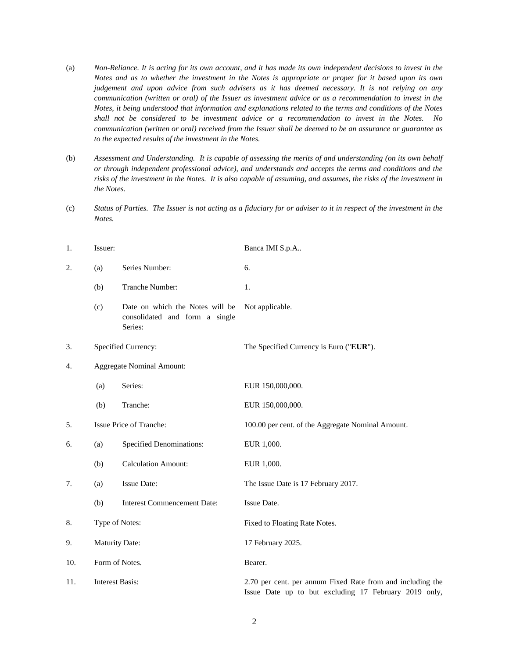- (a) *Non-Reliance. It is acting for its own account, and it has made its own independent decisions to invest in the Notes and as to whether the investment in the Notes is appropriate or proper for it based upon its own judgement and upon advice from such advisers as it has deemed necessary. It is not relying on any communication (written or oral) of the Issuer as investment advice or as a recommendation to invest in the Notes, it being understood that information and explanations related to the terms and conditions of the Notes shall not be considered to be investment advice or a recommendation to invest in the Notes. No communication (written or oral) received from the Issuer shall be deemed to be an assurance or guarantee as to the expected results of the investment in the Notes.*
- (b) *Assessment and Understanding. It is capable of assessing the merits of and understanding (on its own behalf or through independent professional advice), and understands and accepts the terms and conditions and the risks of the investment in the Notes. It is also capable of assuming, and assumes, the risks of the investment in the Notes.*
- (c) *Status of Parties. The Issuer is not acting as a fiduciary for or adviser to it in respect of the investment in the Notes.*

| 1.  | Issuer:                |                                                                              | Banca IMI S.p.A                                                                                                     |
|-----|------------------------|------------------------------------------------------------------------------|---------------------------------------------------------------------------------------------------------------------|
| 2.  | (a)                    | Series Number:                                                               | 6.                                                                                                                  |
|     | (b)                    | Tranche Number:                                                              | 1.                                                                                                                  |
|     | (c)                    | Date on which the Notes will be<br>consolidated and form a single<br>Series: | Not applicable.                                                                                                     |
| 3.  |                        | Specified Currency:                                                          | The Specified Currency is Euro ("EUR").                                                                             |
| 4.  |                        | <b>Aggregate Nominal Amount:</b>                                             |                                                                                                                     |
|     | (a)                    | Series:                                                                      | EUR 150,000,000.                                                                                                    |
|     | (b)                    | Tranche:                                                                     | EUR 150,000,000.                                                                                                    |
| 5.  |                        | Issue Price of Tranche:                                                      | 100.00 per cent. of the Aggregate Nominal Amount.                                                                   |
| 6.  | (a)                    | <b>Specified Denominations:</b>                                              | EUR 1,000.                                                                                                          |
|     | (b)                    | <b>Calculation Amount:</b>                                                   | EUR 1,000.                                                                                                          |
| 7.  | (a)                    | <b>Issue Date:</b>                                                           | The Issue Date is 17 February 2017.                                                                                 |
|     | (b)                    | <b>Interest Commencement Date:</b>                                           | Issue Date.                                                                                                         |
| 8.  | Type of Notes:         |                                                                              | Fixed to Floating Rate Notes.                                                                                       |
| 9.  | <b>Maturity Date:</b>  |                                                                              | 17 February 2025.                                                                                                   |
| 10. |                        | Form of Notes.                                                               | Bearer.                                                                                                             |
| 11. | <b>Interest Basis:</b> |                                                                              | 2.70 per cent. per annum Fixed Rate from and including the<br>Issue Date up to but excluding 17 February 2019 only, |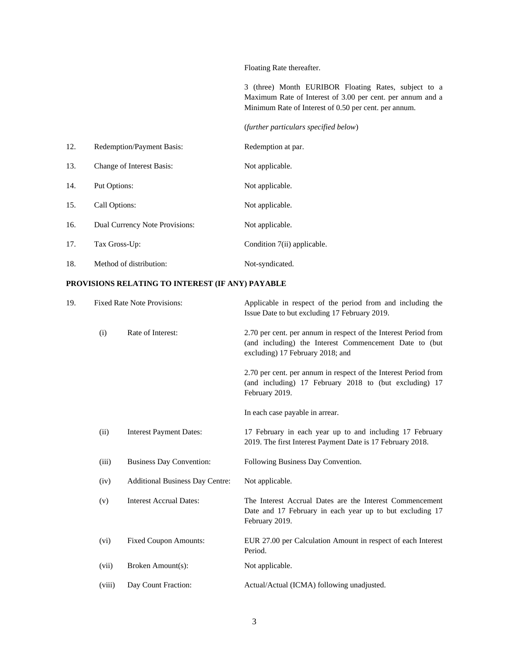Floating Rate thereafter.

3 (three) Month EURIBOR Floating Rates, subject to a Maximum Rate of Interest of 3.00 per cent. per annum and a Minimum Rate of Interest of 0.50 per cent. per annum.

(*further particulars specified below*)

| 12. | Redemption/Payment Basis:        | Redemption at par.          |
|-----|----------------------------------|-----------------------------|
| 13. | <b>Change of Interest Basis:</b> | Not applicable.             |
| 14. | Put Options:                     | Not applicable.             |
| 15. | Call Options:                    | Not applicable.             |
| 16. | Dual Currency Note Provisions:   | Not applicable.             |
| 17. | Tax Gross-Up:                    | Condition 7(ii) applicable. |
| 18. | Method of distribution:          | Not-syndicated.             |

# **PROVISIONS RELATING TO INTEREST (IF ANY) PAYABLE**

| 19. |        | <b>Fixed Rate Note Provisions:</b>     | Applicable in respect of the period from and including the<br>Issue Date to but excluding 17 February 2019.                                                   |
|-----|--------|----------------------------------------|---------------------------------------------------------------------------------------------------------------------------------------------------------------|
|     | (i)    | Rate of Interest:                      | 2.70 per cent. per annum in respect of the Interest Period from<br>(and including) the Interest Commencement Date to (but<br>excluding) 17 February 2018; and |
|     |        |                                        | 2.70 per cent. per annum in respect of the Interest Period from<br>(and including) 17 February 2018 to (but excluding) 17<br>February 2019.                   |
|     |        |                                        | In each case payable in arrear.                                                                                                                               |
|     | (ii)   | <b>Interest Payment Dates:</b>         | 17 February in each year up to and including 17 February<br>2019. The first Interest Payment Date is 17 February 2018.                                        |
|     | (iii)  | <b>Business Day Convention:</b>        | Following Business Day Convention.                                                                                                                            |
|     | (iv)   | <b>Additional Business Day Centre:</b> | Not applicable.                                                                                                                                               |
|     | (v)    | <b>Interest Accrual Dates:</b>         | The Interest Accrual Dates are the Interest Commencement<br>Date and 17 February in each year up to but excluding 17<br>February 2019.                        |
|     | (vi)   | <b>Fixed Coupon Amounts:</b>           | EUR 27.00 per Calculation Amount in respect of each Interest<br>Period.                                                                                       |
|     | (vii)  | Broken Amount(s):                      | Not applicable.                                                                                                                                               |
|     | (viii) | Day Count Fraction:                    | Actual/Actual (ICMA) following unadjusted.                                                                                                                    |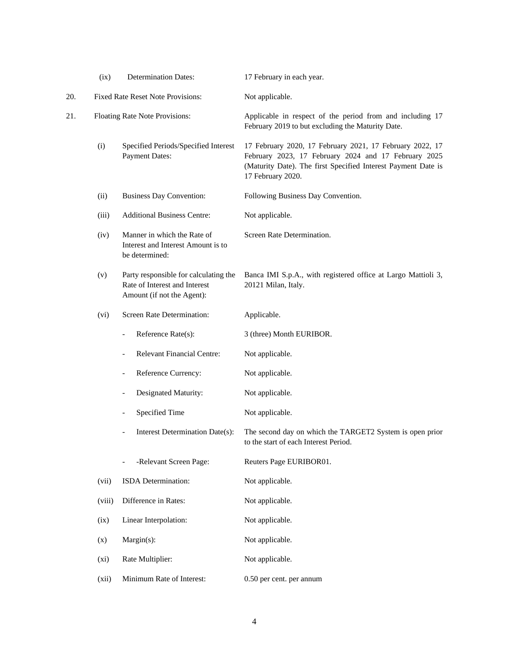|     | (ix)   | <b>Determination Dates:</b>                                                                          | 17 February in each year.                                                                                                                                                                              |
|-----|--------|------------------------------------------------------------------------------------------------------|--------------------------------------------------------------------------------------------------------------------------------------------------------------------------------------------------------|
| 20. |        | <b>Fixed Rate Reset Note Provisions:</b>                                                             | Not applicable.                                                                                                                                                                                        |
| 21. |        | Floating Rate Note Provisions:                                                                       | Applicable in respect of the period from and including 17<br>February 2019 to but excluding the Maturity Date.                                                                                         |
|     | (i)    | Specified Periods/Specified Interest<br><b>Payment Dates:</b>                                        | 17 February 2020, 17 February 2021, 17 February 2022, 17<br>February 2023, 17 February 2024 and 17 February 2025<br>(Maturity Date). The first Specified Interest Payment Date is<br>17 February 2020. |
|     | (ii)   | <b>Business Day Convention:</b>                                                                      | Following Business Day Convention.                                                                                                                                                                     |
|     | (iii)  | <b>Additional Business Centre:</b>                                                                   | Not applicable.                                                                                                                                                                                        |
|     | (iv)   | Manner in which the Rate of<br>Interest and Interest Amount is to<br>be determined:                  | Screen Rate Determination.                                                                                                                                                                             |
|     | (v)    | Party responsible for calculating the<br>Rate of Interest and Interest<br>Amount (if not the Agent): | Banca IMI S.p.A., with registered office at Largo Mattioli 3,<br>20121 Milan, Italy.                                                                                                                   |
|     | (vi)   | Screen Rate Determination:                                                                           | Applicable.                                                                                                                                                                                            |
|     |        | Reference Rate(s):<br>$\qquad \qquad -$                                                              | 3 (three) Month EURIBOR.                                                                                                                                                                               |
|     |        | <b>Relevant Financial Centre:</b>                                                                    | Not applicable.                                                                                                                                                                                        |
|     |        | Reference Currency:<br>$\overline{\phantom{a}}$                                                      | Not applicable.                                                                                                                                                                                        |
|     |        | Designated Maturity:<br>$\overline{\phantom{a}}$                                                     | Not applicable.                                                                                                                                                                                        |
|     |        | Specified Time                                                                                       | Not applicable.                                                                                                                                                                                        |
|     |        | Interest Determination Date(s):                                                                      | The second day on which the TARGET2 System is open prior<br>to the start of each Interest Period.                                                                                                      |
|     |        | -Relevant Screen Page:                                                                               | Reuters Page EURIBOR01.                                                                                                                                                                                |
|     | (vii)  | ISDA Determination:                                                                                  | Not applicable.                                                                                                                                                                                        |
|     | (viii) | Difference in Rates:                                                                                 | Not applicable.                                                                                                                                                                                        |
|     | (ix)   | Linear Interpolation:                                                                                | Not applicable.                                                                                                                                                                                        |
|     | (x)    | Margin(s):                                                                                           | Not applicable.                                                                                                                                                                                        |
|     | (xi)   | Rate Multiplier:                                                                                     | Not applicable.                                                                                                                                                                                        |
|     | (xii)  | Minimum Rate of Interest:                                                                            | 0.50 per cent. per annum                                                                                                                                                                               |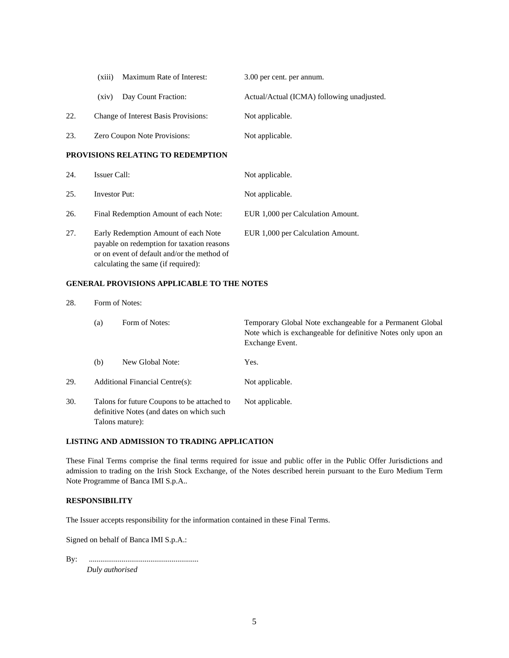|     | Maximum Rate of Interest:<br>(xiii)  | 3.00 per cent. per annum.                  |
|-----|--------------------------------------|--------------------------------------------|
|     | Day Count Fraction:<br>(xiv)         | Actual/Actual (ICMA) following unadjusted. |
| 22. | Change of Interest Basis Provisions: | Not applicable.                            |
| 23. | <b>Zero Coupon Note Provisions:</b>  | Not applicable.                            |

# **PROVISIONS RELATING TO REDEMPTION**

| 24. | Issuer Call:                                                                                                                                                             | Not applicable.                   |
|-----|--------------------------------------------------------------------------------------------------------------------------------------------------------------------------|-----------------------------------|
| 25. | <b>Investor Put:</b>                                                                                                                                                     | Not applicable.                   |
| 26. | Final Redemption Amount of each Note:                                                                                                                                    | EUR 1,000 per Calculation Amount. |
| 27. | Early Redemption Amount of each Note<br>payable on redemption for taxation reasons<br>or on event of default and/or the method of<br>calculating the same (if required): | EUR 1,000 per Calculation Amount. |

# **GENERAL PROVISIONS APPLICABLE TO THE NOTES**

| 28. | Form of Notes: |                                                                                                             |                                                                                                                                              |  |
|-----|----------------|-------------------------------------------------------------------------------------------------------------|----------------------------------------------------------------------------------------------------------------------------------------------|--|
|     | (a)            | Form of Notes:                                                                                              | Temporary Global Note exchangeable for a Permanent Global<br>Note which is exchangeable for definitive Notes only upon an<br>Exchange Event. |  |
|     | (b)            | New Global Note:                                                                                            | Yes.                                                                                                                                         |  |
| 29. |                | Additional Financial Centre(s):                                                                             | Not applicable.                                                                                                                              |  |
| 30. |                | Talons for future Coupons to be attached to<br>definitive Notes (and dates on which such<br>Talons mature): | Not applicable.                                                                                                                              |  |

## **LISTING AND ADMISSION TO TRADING APPLICATION**

These Final Terms comprise the final terms required for issue and public offer in the Public Offer Jurisdictions and admission to trading on the Irish Stock Exchange, of the Notes described herein pursuant to the Euro Medium Term Note Programme of Banca IMI S.p.A..

#### **RESPONSIBILITY**

The Issuer accepts responsibility for the information contained in these Final Terms.

Signed on behalf of Banca IMI S.p.A.:

By: .........................................................

*Duly authorised*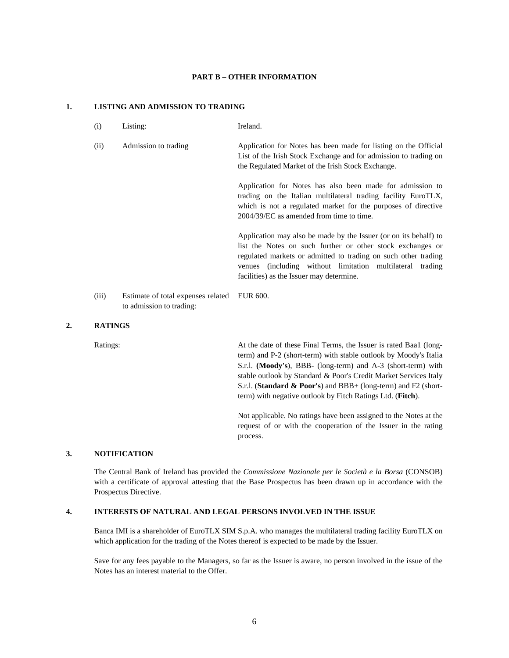#### **PART B – OTHER INFORMATION**

#### **1. LISTING AND ADMISSION TO TRADING**

- (i) Listing: Ireland.
- (ii) Admission to trading Application for Notes has been made for listing on the Official List of the Irish Stock Exchange and for admission to trading on the Regulated Market of the Irish Stock Exchange.

Application for Notes has also been made for admission to trading on the Italian multilateral trading facility EuroTLX, which is not a regulated market for the purposes of directive 2004/39/EC as amended from time to time.

Application may also be made by the Issuer (or on its behalf) to list the Notes on such further or other stock exchanges or regulated markets or admitted to trading on such other trading venues (including without limitation multilateral trading facilities) as the Issuer may determine.

(iii) Estimate of total expenses related to admission to trading: EUR 600.

#### **2. RATINGS**

Ratings: At the date of these Final Terms, the Issuer is rated Baa1 (longterm) and P-2 (short-term) with stable outlook by Moody's Italia S.r.l. **(Moody's**), BBB- (long-term) and A-3 (short-term) with stable outlook by Standard & Poor's Credit Market Services Italy S.r.l. (**Standard & Poor's**) and BBB+ (long-term) and F2 (shortterm) with negative outlook by Fitch Ratings Ltd. (**Fitch**).

> Not applicable. No ratings have been assigned to the Notes at the request of or with the cooperation of the Issuer in the rating process.

#### **3. NOTIFICATION**

The Central Bank of Ireland has provided the *Commissione Nazionale per le Società e la Borsa* (CONSOB) with a certificate of approval attesting that the Base Prospectus has been drawn up in accordance with the Prospectus Directive.

## **4. INTERESTS OF NATURAL AND LEGAL PERSONS INVOLVED IN THE ISSUE**

Banca IMI is a shareholder of EuroTLX SIM S.p.A. who manages the multilateral trading facility EuroTLX on which application for the trading of the Notes thereof is expected to be made by the Issuer.

Save for any fees payable to the Managers, so far as the Issuer is aware, no person involved in the issue of the Notes has an interest material to the Offer.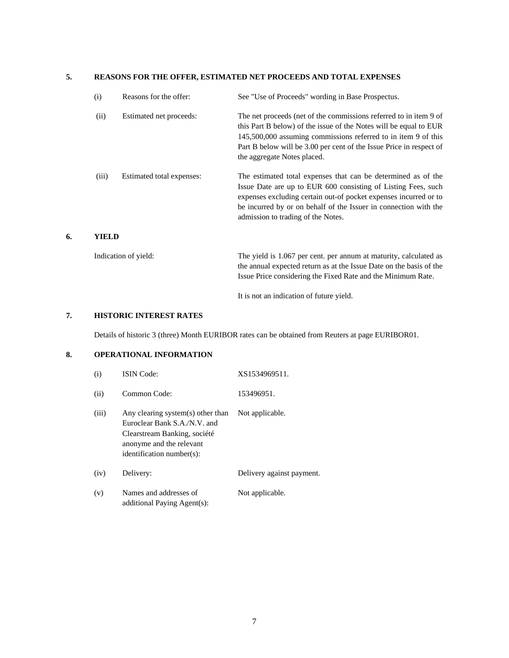# **5. REASONS FOR THE OFFER, ESTIMATED NET PROCEEDS AND TOTAL EXPENSES**

| (i)   | Reasons for the offer:    | See "Use of Proceeds" wording in Base Prospectus.                                                                                                                                                                                                                                                              |
|-------|---------------------------|----------------------------------------------------------------------------------------------------------------------------------------------------------------------------------------------------------------------------------------------------------------------------------------------------------------|
| (ii)  | Estimated net proceeds:   | The net proceeds (net of the commissions referred to in item 9 of<br>this Part B below) of the issue of the Notes will be equal to EUR<br>145,500,000 assuming commissions referred to in item 9 of this<br>Part B below will be 3.00 per cent of the Issue Price in respect of<br>the aggregate Notes placed. |
| (iii) | Estimated total expenses: | The estimated total expenses that can be determined as of the<br>Issue Date are up to EUR 600 consisting of Listing Fees, such<br>expenses excluding certain out-of pocket expenses incurred or to<br>be incurred by or on behalf of the Issuer in connection with the<br>admission to trading of the Notes.   |
| YIELD |                           |                                                                                                                                                                                                                                                                                                                |

# Indication of yield: The yield is 1.067 per cent. per annum at maturity, calculated as the annual expected return as at the Issue Date on the basis of the Issue Price considering the Fixed Rate and the Minimum Rate.

It is not an indication of future yield.

# **7. HISTORIC INTEREST RATES**

**6.** 

Details of historic 3 (three) Month EURIBOR rates can be obtained from Reuters at page EURIBOR01.

# **8. OPERATIONAL INFORMATION**

| (i)   | <b>ISIN</b> Code:                                                                                                                                          | XS1534969511.             |
|-------|------------------------------------------------------------------------------------------------------------------------------------------------------------|---------------------------|
| (ii)  | Common Code:                                                                                                                                               | 153496951.                |
| (iii) | Any clearing system(s) other than<br>Euroclear Bank S.A./N.V. and<br>Clearstream Banking, société<br>anonyme and the relevant<br>identification number(s): | Not applicable.           |
| (iv)  | Delivery:                                                                                                                                                  | Delivery against payment. |
| (v)   | Names and addresses of<br>additional Paying Agent(s):                                                                                                      | Not applicable.           |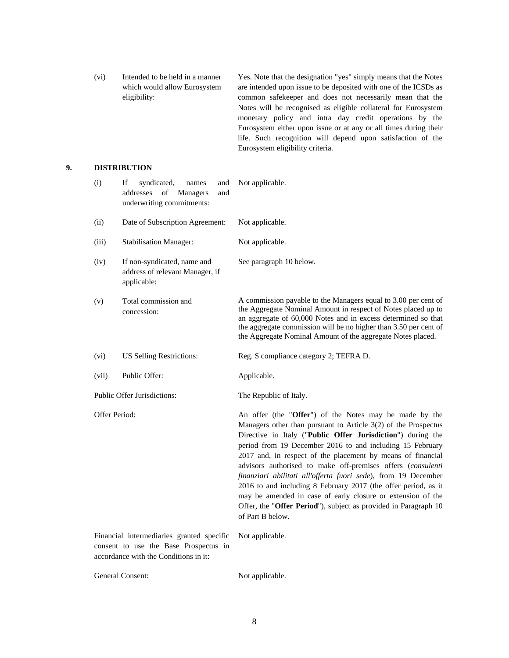(vi) Intended to be held in a manner which would allow Eurosystem eligibility: Yes. Note that the designation "yes" simply means that the Notes are intended upon issue to be deposited with one of the ICSDs as common safekeeper and does not necessarily mean that the Notes will be recognised as eligible collateral for Eurosystem monetary policy and intra day credit operations by the Eurosystem either upon issue or at any or all times during their life. Such recognition will depend upon satisfaction of the Eurosystem eligibility criteria.

# **9. DISTRIBUTION**

| (i)                                                                                                                         | If<br>syndicated,<br>and<br>names<br>addresses<br>of<br>Managers<br>and<br>underwriting commitments: | Not applicable.                                                                                                                                                                                                                                                                                                                                                                                                                                                                                                                                                                                                                                                              |
|-----------------------------------------------------------------------------------------------------------------------------|------------------------------------------------------------------------------------------------------|------------------------------------------------------------------------------------------------------------------------------------------------------------------------------------------------------------------------------------------------------------------------------------------------------------------------------------------------------------------------------------------------------------------------------------------------------------------------------------------------------------------------------------------------------------------------------------------------------------------------------------------------------------------------------|
| (ii)                                                                                                                        | Date of Subscription Agreement:                                                                      | Not applicable.                                                                                                                                                                                                                                                                                                                                                                                                                                                                                                                                                                                                                                                              |
| (iii)                                                                                                                       | <b>Stabilisation Manager:</b>                                                                        | Not applicable.                                                                                                                                                                                                                                                                                                                                                                                                                                                                                                                                                                                                                                                              |
| (iv)                                                                                                                        | If non-syndicated, name and<br>address of relevant Manager, if<br>applicable:                        | See paragraph 10 below.                                                                                                                                                                                                                                                                                                                                                                                                                                                                                                                                                                                                                                                      |
| (v)                                                                                                                         | Total commission and<br>concession:                                                                  | A commission payable to the Managers equal to 3.00 per cent of<br>the Aggregate Nominal Amount in respect of Notes placed up to<br>an aggregate of 60,000 Notes and in excess determined so that<br>the aggregate commission will be no higher than 3.50 per cent of<br>the Aggregate Nominal Amount of the aggregate Notes placed.                                                                                                                                                                                                                                                                                                                                          |
| (vi)                                                                                                                        | <b>US Selling Restrictions:</b>                                                                      | Reg. S compliance category 2; TEFRA D.                                                                                                                                                                                                                                                                                                                                                                                                                                                                                                                                                                                                                                       |
| (vii)                                                                                                                       | Public Offer:                                                                                        | Applicable.                                                                                                                                                                                                                                                                                                                                                                                                                                                                                                                                                                                                                                                                  |
| <b>Public Offer Jurisdictions:</b>                                                                                          |                                                                                                      | The Republic of Italy.                                                                                                                                                                                                                                                                                                                                                                                                                                                                                                                                                                                                                                                       |
| Offer Period:                                                                                                               |                                                                                                      | An offer (the "Offer") of the Notes may be made by the<br>Managers other than pursuant to Article 3(2) of the Prospectus<br>Directive in Italy ("Public Offer Jurisdiction") during the<br>period from 19 December 2016 to and including 15 February<br>2017 and, in respect of the placement by means of financial<br>advisors authorised to make off-premises offers (consulenti<br>finanziari abilitati all'offerta fuori sede), from 19 December<br>2016 to and including 8 February 2017 (the offer period, as it<br>may be amended in case of early closure or extension of the<br>Offer, the "Offer Period"), subject as provided in Paragraph 10<br>of Part B below. |
| Financial intermediaries granted specific<br>consent to use the Base Prospectus in<br>accordance with the Conditions in it: |                                                                                                      | Not applicable.                                                                                                                                                                                                                                                                                                                                                                                                                                                                                                                                                                                                                                                              |
| <b>General Consent:</b>                                                                                                     |                                                                                                      | Not applicable.                                                                                                                                                                                                                                                                                                                                                                                                                                                                                                                                                                                                                                                              |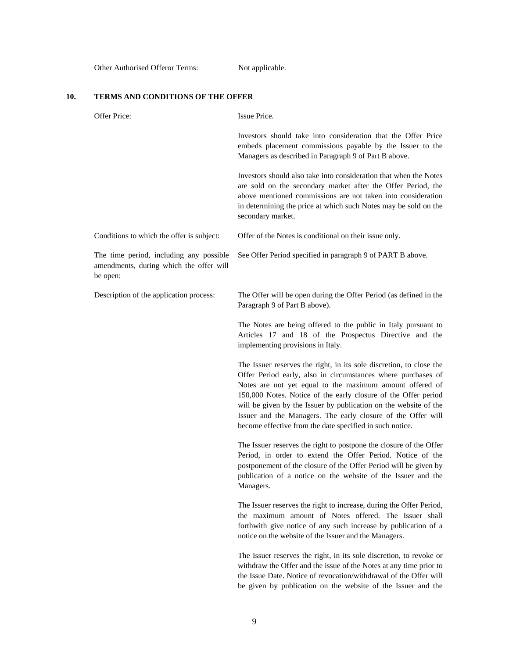Other Authorised Offeror Terms: Not applicable.

# **10. TERMS AND CONDITIONS OF THE OFFER**

| Offer Price:                                                                                   | Issue Price.                                                                                                                                                                                                                                                                                                                                                                                                                                                      |
|------------------------------------------------------------------------------------------------|-------------------------------------------------------------------------------------------------------------------------------------------------------------------------------------------------------------------------------------------------------------------------------------------------------------------------------------------------------------------------------------------------------------------------------------------------------------------|
|                                                                                                | Investors should take into consideration that the Offer Price<br>embeds placement commissions payable by the Issuer to the<br>Managers as described in Paragraph 9 of Part B above.                                                                                                                                                                                                                                                                               |
|                                                                                                | Investors should also take into consideration that when the Notes<br>are sold on the secondary market after the Offer Period, the<br>above mentioned commissions are not taken into consideration<br>in determining the price at which such Notes may be sold on the<br>secondary market.                                                                                                                                                                         |
| Conditions to which the offer is subject:                                                      | Offer of the Notes is conditional on their issue only.                                                                                                                                                                                                                                                                                                                                                                                                            |
| The time period, including any possible<br>amendments, during which the offer will<br>be open: | See Offer Period specified in paragraph 9 of PART B above.                                                                                                                                                                                                                                                                                                                                                                                                        |
| Description of the application process:                                                        | The Offer will be open during the Offer Period (as defined in the<br>Paragraph 9 of Part B above).                                                                                                                                                                                                                                                                                                                                                                |
|                                                                                                | The Notes are being offered to the public in Italy pursuant to<br>Articles 17 and 18 of the Prospectus Directive and the<br>implementing provisions in Italy.                                                                                                                                                                                                                                                                                                     |
|                                                                                                | The Issuer reserves the right, in its sole discretion, to close the<br>Offer Period early, also in circumstances where purchases of<br>Notes are not yet equal to the maximum amount offered of<br>150,000 Notes. Notice of the early closure of the Offer period<br>will be given by the Issuer by publication on the website of the<br>Issuer and the Managers. The early closure of the Offer will<br>become effective from the date specified in such notice. |
|                                                                                                | The Issuer reserves the right to postpone the closure of the Offer<br>Period, in order to extend the Offer Period. Notice of the<br>postponement of the closure of the Offer Period will be given by<br>publication of a notice on the website of the Issuer and the<br>Managers.                                                                                                                                                                                 |
|                                                                                                | The Issuer reserves the right to increase, during the Offer Period,<br>the maximum amount of Notes offered. The Issuer shall<br>forthwith give notice of any such increase by publication of a<br>notice on the website of the Issuer and the Managers.                                                                                                                                                                                                           |
|                                                                                                | The Issuer reserves the right, in its sole discretion, to revoke or<br>withdraw the Offer and the issue of the Notes at any time prior to<br>the Issue Date. Notice of revocation/withdrawal of the Offer will<br>be given by publication on the website of the Issuer and the                                                                                                                                                                                    |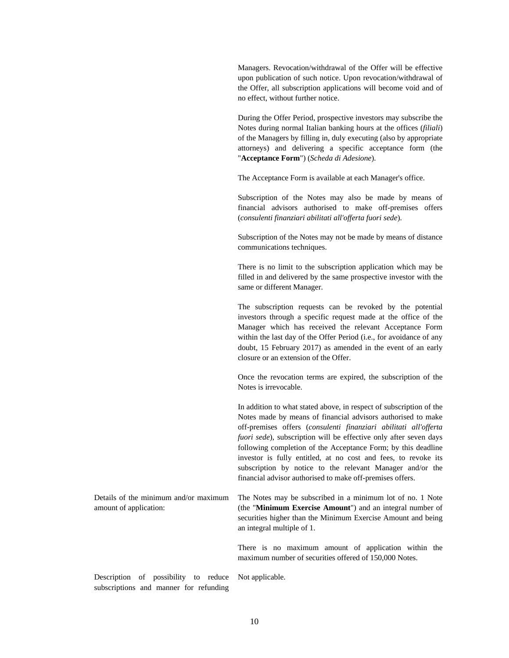Managers. Revocation/withdrawal of the Offer will be effective upon publication of such notice. Upon revocation/withdrawal of the Offer, all subscription applications will become void and of no effect, without further notice.

During the Offer Period, prospective investors may subscribe the Notes during normal Italian banking hours at the offices (*filiali*) of the Managers by filling in, duly executing (also by appropriate attorneys) and delivering a specific acceptance form (the "**Acceptance Form**") (*Scheda di Adesione*).

The Acceptance Form is available at each Manager's office.

Subscription of the Notes may also be made by means of financial advisors authorised to make off-premises offers (*consulenti finanziari abilitati all'offerta fuori sede*).

Subscription of the Notes may not be made by means of distance communications techniques.

There is no limit to the subscription application which may be filled in and delivered by the same prospective investor with the same or different Manager.

The subscription requests can be revoked by the potential investors through a specific request made at the office of the Manager which has received the relevant Acceptance Form within the last day of the Offer Period (i.e., for avoidance of any doubt, 15 February 2017) as amended in the event of an early closure or an extension of the Offer.

Once the revocation terms are expired, the subscription of the Notes is irrevocable.

In addition to what stated above, in respect of subscription of the Notes made by means of financial advisors authorised to make off-premises offers (*consulenti finanziari abilitati all'offerta fuori sede*), subscription will be effective only after seven days following completion of the Acceptance Form; by this deadline investor is fully entitled, at no cost and fees, to revoke its subscription by notice to the relevant Manager and/or the financial advisor authorised to make off-premises offers.

Details of the minimum and/or maximum amount of application: The Notes may be subscribed in a minimum lot of no. 1 Note (the "**Minimum Exercise Amount**") and an integral number of securities higher than the Minimum Exercise Amount and being an integral multiple of 1. There is no maximum amount of application within the

maximum number of securities offered of 150,000 Notes.

Description of possibility to reduce Not applicable. subscriptions and manner for refunding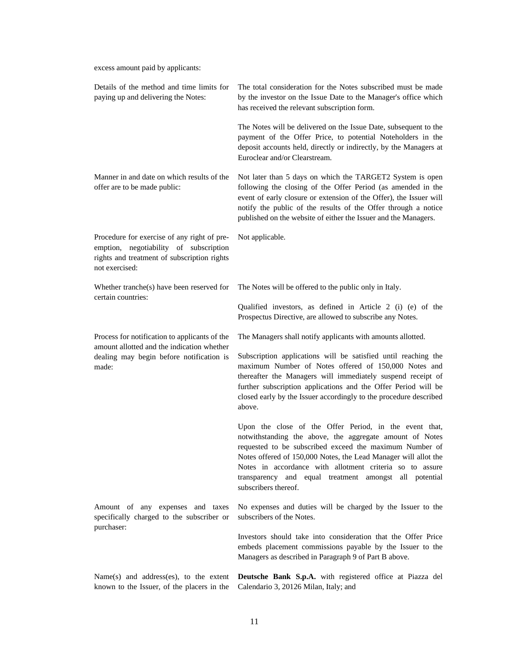excess amount paid by applicants:

| Details of the method and time limits for<br>paying up and delivering the Notes:                                                                       | The total consideration for the Notes subscribed must be made<br>by the investor on the Issue Date to the Manager's office which<br>has received the relevant subscription form.                                                                                                                                                                                                               |
|--------------------------------------------------------------------------------------------------------------------------------------------------------|------------------------------------------------------------------------------------------------------------------------------------------------------------------------------------------------------------------------------------------------------------------------------------------------------------------------------------------------------------------------------------------------|
|                                                                                                                                                        | The Notes will be delivered on the Issue Date, subsequent to the<br>payment of the Offer Price, to potential Noteholders in the<br>deposit accounts held, directly or indirectly, by the Managers at<br>Euroclear and/or Clearstream.                                                                                                                                                          |
| Manner in and date on which results of the<br>offer are to be made public:                                                                             | Not later than 5 days on which the TARGET2 System is open<br>following the closing of the Offer Period (as amended in the<br>event of early closure or extension of the Offer), the Issuer will<br>notify the public of the results of the Offer through a notice<br>published on the website of either the Issuer and the Managers.                                                           |
| Procedure for exercise of any right of pre-<br>emption, negotiability of subscription<br>rights and treatment of subscription rights<br>not exercised: | Not applicable.                                                                                                                                                                                                                                                                                                                                                                                |
| Whether tranche(s) have been reserved for<br>certain countries:                                                                                        | The Notes will be offered to the public only in Italy.                                                                                                                                                                                                                                                                                                                                         |
|                                                                                                                                                        | Qualified investors, as defined in Article 2 (i) (e) of the<br>Prospectus Directive, are allowed to subscribe any Notes.                                                                                                                                                                                                                                                                       |
| Process for notification to applicants of the<br>amount allotted and the indication whether                                                            | The Managers shall notify applicants with amounts allotted.                                                                                                                                                                                                                                                                                                                                    |
| dealing may begin before notification is<br>made:                                                                                                      | Subscription applications will be satisfied until reaching the<br>maximum Number of Notes offered of 150,000 Notes and<br>thereafter the Managers will immediately suspend receipt of<br>further subscription applications and the Offer Period will be<br>closed early by the Issuer accordingly to the procedure described<br>above.                                                         |
|                                                                                                                                                        | Upon the close of the Offer Period, in the event that,<br>notwithstanding the above, the aggregate amount of Notes<br>requested to be subscribed exceed the maximum Number of<br>Notes offered of 150,000 Notes, the Lead Manager will allot the<br>Notes in accordance with allotment criteria so to assure<br>transparency and equal treatment amongst all potential<br>subscribers thereof. |
| Amount of any expenses and taxes<br>specifically charged to the subscriber or                                                                          | No expenses and duties will be charged by the Issuer to the<br>subscribers of the Notes.                                                                                                                                                                                                                                                                                                       |
| purchaser:                                                                                                                                             | Investors should take into consideration that the Offer Price<br>embeds placement commissions payable by the Issuer to the<br>Managers as described in Paragraph 9 of Part B above.                                                                                                                                                                                                            |
| Name $(s)$ and address $(es)$ , to the extent<br>known to the Issuer, of the placers in the                                                            | Deutsche Bank S.p.A. with registered office at Piazza del<br>Calendario 3, 20126 Milan, Italy; and                                                                                                                                                                                                                                                                                             |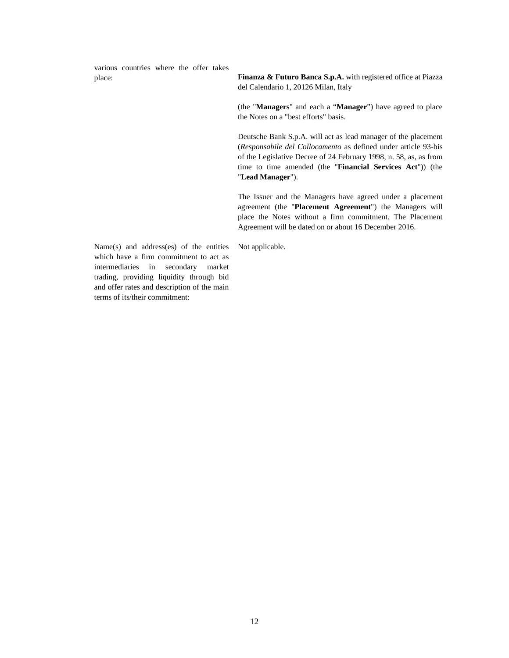various countries where the offer takes

place: **Finanza & Futuro Banca S.p.A.** with registered office at Piazza del Calendario 1, 20126 Milan, Italy

> (the "**Managers**" and each a "**Manager**") have agreed to place the Notes on a "best efforts" basis.

> Deutsche Bank S.p.A. will act as lead manager of the placement (*Responsabile del Collocamento* as defined under article 93-bis of the Legislative Decree of 24 February 1998, n. 58, as, as from time to time amended (the "**Financial Services Act**")) (the "**Lead Manager**").

> The Issuer and the Managers have agreed under a placement agreement (the "**Placement Agreement**") the Managers will place the Notes without a firm commitment. The Placement Agreement will be dated on or about 16 December 2016.

Not applicable.

Name(s) and address(es) of the entities which have a firm commitment to act as intermediaries in secondary market trading, providing liquidity through bid and offer rates and description of the main terms of its/their commitment: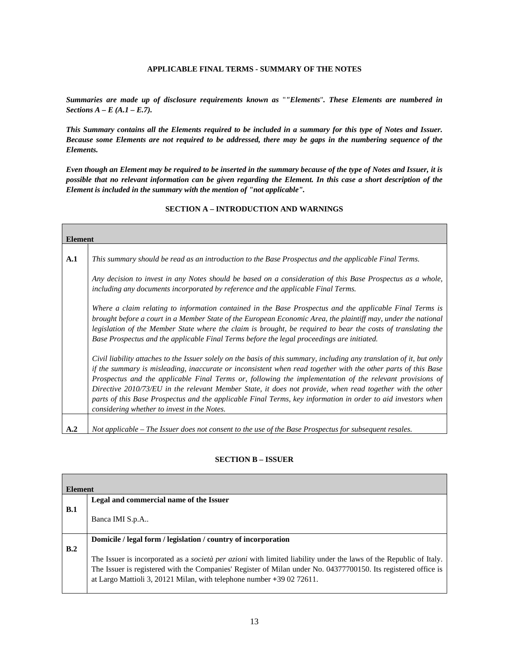## **APPLICABLE FINAL TERMS - SUMMARY OF THE NOTES**

*Summaries are made up of disclosure requirements known as* "*"Elements*"*. These Elements are numbered in Sections A – E (A.1 – E.7).* 

*This Summary contains all the Elements required to be included in a summary for this type of Notes and Issuer. Because some Elements are not required to be addressed, there may be gaps in the numbering sequence of the Elements.* 

*Even though an Element may be required to be inserted in the summary because of the type of Notes and Issuer, it is possible that no relevant information can be given regarding the Element. In this case a short description of the Element is included in the summary with the mention of "not applicable".* 

# **Element A.1** *This summary should be read as an introduction to the Base Prospectus and the applicable Final Terms. Any decision to invest in any Notes should be based on a consideration of this Base Prospectus as a whole, including any documents incorporated by reference and the applicable Final Terms. Where a claim relating to information contained in the Base Prospectus and the applicable Final Terms is brought before a court in a Member State of the European Economic Area, the plaintiff may, under the national legislation of the Member State where the claim is brought, be required to bear the costs of translating the Base Prospectus and the applicable Final Terms before the legal proceedings are initiated. Civil liability attaches to the Issuer solely on the basis of this summary, including any translation of it, but only if the summary is misleading, inaccurate or inconsistent when read together with the other parts of this Base Prospectus and the applicable Final Terms or, following the implementation of the relevant provisions of Directive 2010/73/EU in the relevant Member State, it does not provide, when read together with the other parts of this Base Prospectus and the applicable Final Terms, key information in order to aid investors when considering whether to invest in the Notes.*  **A.2** *Not applicable – The Issuer does not consent to the use of the Base Prospectus for subsequent resales.*

# **SECTION A – INTRODUCTION AND WARNINGS**

#### **SECTION B – ISSUER**

| <b>Element</b> |                                                                                                                           |
|----------------|---------------------------------------------------------------------------------------------------------------------------|
|                | Legal and commercial name of the Issuer                                                                                   |
| B.1            |                                                                                                                           |
|                | Banca IMI S.p.A                                                                                                           |
|                |                                                                                                                           |
|                | Domicile / legal form / legislation / country of incorporation                                                            |
| B.2            |                                                                                                                           |
|                | The Issuer is incorporated as a <i>società per azioni</i> with limited liability under the laws of the Republic of Italy. |
|                | The Issuer is registered with the Companies' Register of Milan under No. 04377700150. Its registered office is            |
|                | at Largo Mattioli 3, 20121 Milan, with telephone number $+390272611$ .                                                    |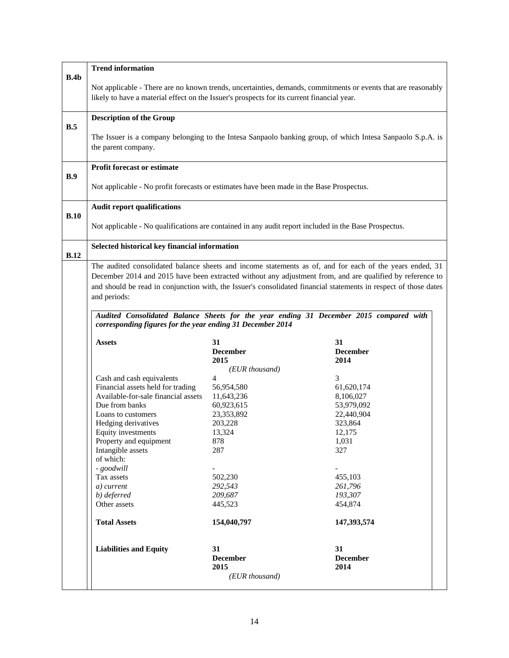| B.4b        |                                                                                            |                         |                                                                                                                  |
|-------------|--------------------------------------------------------------------------------------------|-------------------------|------------------------------------------------------------------------------------------------------------------|
|             | likely to have a material effect on the Issuer's prospects for its current financial year. |                         | Not applicable - There are no known trends, uncertainties, demands, commitments or events that are reasonably    |
|             | <b>Description of the Group</b>                                                            |                         |                                                                                                                  |
| B.5         |                                                                                            |                         |                                                                                                                  |
|             | the parent company.                                                                        |                         | The Issuer is a company belonging to the Intesa Sanpaolo banking group, of which Intesa Sanpaolo S.p.A. is       |
| B.9         | <b>Profit forecast or estimate</b>                                                         |                         |                                                                                                                  |
|             | Not applicable - No profit forecasts or estimates have been made in the Base Prospectus.   |                         |                                                                                                                  |
| B.10        | <b>Audit report qualifications</b>                                                         |                         |                                                                                                                  |
|             |                                                                                            |                         | Not applicable - No qualifications are contained in any audit report included in the Base Prospectus.            |
| <b>B.12</b> | Selected historical key financial information                                              |                         |                                                                                                                  |
|             |                                                                                            |                         | The audited consolidated balance sheets and income statements as of, and for each of the years ended, 31         |
|             |                                                                                            |                         | December 2014 and 2015 have been extracted without any adjustment from, and are qualified by reference to        |
|             |                                                                                            |                         | and should be read in conjunction with, the Issuer's consolidated financial statements in respect of those dates |
|             | and periods:                                                                               |                         |                                                                                                                  |
|             |                                                                                            |                         |                                                                                                                  |
|             |                                                                                            |                         |                                                                                                                  |
|             | corresponding figures for the year ending 31 December 2014                                 |                         | Audited Consolidated Balance Sheets for the year ending 31 December 2015 compared with                           |
|             | <b>Assets</b>                                                                              | 31                      | 31                                                                                                               |
|             |                                                                                            | <b>December</b><br>2015 | <b>December</b><br>2014                                                                                          |
|             |                                                                                            | (EUR thousand)          |                                                                                                                  |
|             | Cash and cash equivalents                                                                  | $\overline{4}$          | 3                                                                                                                |
|             | Financial assets held for trading                                                          | 56,954,580              | 61,620,174                                                                                                       |
|             | Available-for-sale financial assets                                                        | 11,643,236              | 8,106,027                                                                                                        |
|             | Due from banks                                                                             | 60,923,615              | 53,979,092                                                                                                       |
|             | Loans to customers                                                                         | 23,353,892              | 22,440,904                                                                                                       |
|             | Hedging derivatives                                                                        | 203,228                 | 323,864                                                                                                          |
|             | Equity investments                                                                         | 13,324                  | 12,175                                                                                                           |
|             | Property and equipment                                                                     | 878                     | 1,031                                                                                                            |
|             | Intangible assets                                                                          | 287                     | 327                                                                                                              |
|             | of which:                                                                                  |                         |                                                                                                                  |
|             | - goodwill                                                                                 |                         |                                                                                                                  |
|             | Tax assets                                                                                 | 502,230                 | 455,103                                                                                                          |
|             | a) current                                                                                 | 292,543                 | 261,796                                                                                                          |
|             | b) deferred                                                                                | 209,687                 | 193,307                                                                                                          |
|             | Other assets                                                                               | 445,523                 | 454,874                                                                                                          |
|             | <b>Total Assets</b>                                                                        | 154,040,797             | 147,393,574                                                                                                      |
|             | <b>Liabilities and Equity</b>                                                              | 31                      | 31                                                                                                               |
|             |                                                                                            | <b>December</b><br>2015 | <b>December</b><br>2014                                                                                          |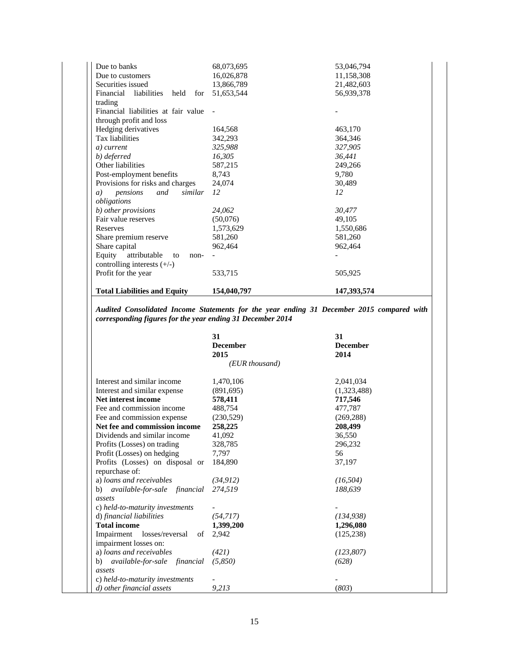| Due to banks                            | 68,073,695  | 53,046,794  |
|-----------------------------------------|-------------|-------------|
| Due to customers                        | 16,026,878  | 11,158,308  |
| Securities issued                       | 13,866,789  | 21,482,603  |
| Financial<br>liabilities<br>held<br>for | 51,653,544  | 56,939,378  |
| trading                                 |             |             |
| Financial liabilities at fair value     |             |             |
| through profit and loss                 |             |             |
| Hedging derivatives                     | 164,568     | 463,170     |
| Tax liabilities                         | 342,293     | 364,346     |
| a) current                              | 325,988     | 327,905     |
| b) deferred                             | 16,305      | 36,441      |
| Other liabilities                       | 587,215     | 249,266     |
| Post-employment benefits                | 8,743       | 9,780       |
| Provisions for risks and charges        | 24,074      | 30,489      |
| similar<br>pensions<br>and<br>a)        | 12          | 12          |
| obligations                             |             |             |
| b) other provisions                     | 24,062      | 30,477      |
| Fair value reserves                     | (50,076)    | 49,105      |
| Reserves                                | 1,573,629   | 1,550,686   |
| Share premium reserve                   | 581,260     | 581,260     |
| Share capital                           | 962,464     | 962,464     |
| Equity<br>attributable<br>to<br>non-    |             |             |
| controlling interests $(+/-)$           |             |             |
| Profit for the year                     | 533,715     | 505,925     |
| <b>Total Liabilities and Equity</b>     | 154,040,797 | 147,393,574 |

*Audited Consolidated Income Statements for the year ending 31 December 2015 compared with corresponding figures for the year ending 31 December 2014* 

|                                                   | 31<br><b>December</b><br>2015 | 31<br><b>December</b><br>2014 |
|---------------------------------------------------|-------------------------------|-------------------------------|
|                                                   | (EUR thousand)                |                               |
| Interest and similar income                       | 1,470,106                     | 2,041,034                     |
| Interest and similar expense                      | (891,695)                     | (1,323,488)                   |
| Net interest income                               | 578,411                       | 717,546                       |
| Fee and commission income                         | 488,754                       | 477,787                       |
| Fee and commission expense                        | (230,529)                     | (269, 288)                    |
| Net fee and commission income                     | 258,225                       | 208,499                       |
| Dividends and similar income                      | 41,092                        | 36,550                        |
| Profits (Losses) on trading                       | 328,785                       | 296,232                       |
| Profit (Losses) on hedging                        | 7,797                         | 56                            |
| Profits (Losses) on disposal or<br>repurchase of: | 184,890                       | 37,197                        |
| a) loans and receivables                          | (34, 912)                     | (16, 504)                     |
| b) available-for-sale financial                   | 274.519                       | 188,639                       |
| assets                                            |                               |                               |
| c) held-to-maturity investments                   |                               |                               |
| d) financial liabilities                          | (54,717)                      | (134, 938)                    |
| <b>Total income</b>                               | 1,399,200                     | 1,296,080                     |
| Impairment<br>losses/reversal<br>of               | 2,942                         | (125, 238)                    |
| impairment losses on:                             |                               |                               |
| a) loans and receivables                          | (421)                         | (123, 807)                    |
| b) available-for-sale financial                   | (5,850)                       | (628)                         |
| assets                                            |                               |                               |
| c) held-to-maturity investments                   |                               |                               |
| d) other financial assets                         | 9,213                         | (803)                         |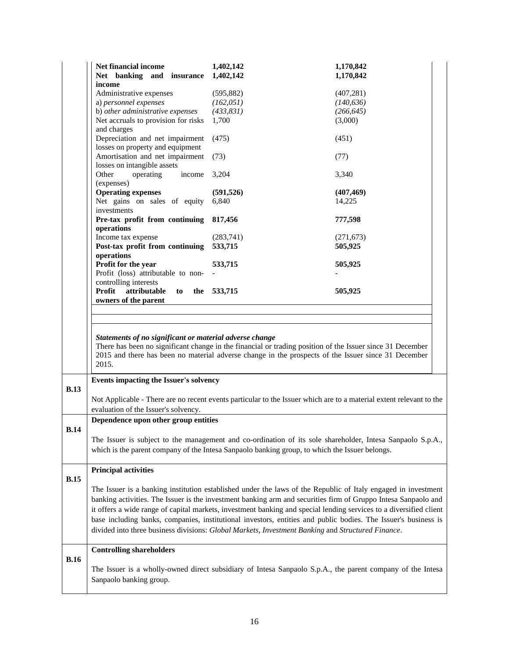|             | Net financial income<br>Net banking and insurance<br>income                                                                                                                                                  | 1,402,142<br>1,402,142                                                                                                                                                                                           | 1,170,842<br>1,170,842 |
|-------------|--------------------------------------------------------------------------------------------------------------------------------------------------------------------------------------------------------------|------------------------------------------------------------------------------------------------------------------------------------------------------------------------------------------------------------------|------------------------|
|             | Administrative expenses                                                                                                                                                                                      | (595, 882)                                                                                                                                                                                                       | (407, 281)             |
|             | a) personnel expenses                                                                                                                                                                                        | (162, 051)                                                                                                                                                                                                       | (140, 636)             |
|             | b) other administrative expenses                                                                                                                                                                             | (433, 831)                                                                                                                                                                                                       | (266, 645)             |
|             | Net accruals to provision for risks                                                                                                                                                                          | 1,700                                                                                                                                                                                                            | (3,000)                |
|             | and charges                                                                                                                                                                                                  |                                                                                                                                                                                                                  |                        |
|             | Depreciation and net impairment<br>losses on property and equipment                                                                                                                                          | (475)                                                                                                                                                                                                            | (451)                  |
|             | Amortisation and net impairment<br>losses on intangible assets                                                                                                                                               | (73)                                                                                                                                                                                                             | (77)                   |
|             | Other<br>operating<br>income<br>(expenses)                                                                                                                                                                   | 3,204                                                                                                                                                                                                            | 3,340                  |
|             | <b>Operating expenses</b>                                                                                                                                                                                    |                                                                                                                                                                                                                  |                        |
|             | Net gains on sales of equity                                                                                                                                                                                 | (591, 526)<br>6,840                                                                                                                                                                                              | (407, 469)             |
|             | investments                                                                                                                                                                                                  |                                                                                                                                                                                                                  | 14,225                 |
|             | Pre-tax profit from continuing<br>operations                                                                                                                                                                 | 817,456                                                                                                                                                                                                          | 777,598                |
|             | Income tax expense                                                                                                                                                                                           | (283,741)                                                                                                                                                                                                        | (271, 673)             |
|             | Post-tax profit from continuing                                                                                                                                                                              | 533,715                                                                                                                                                                                                          | 505,925                |
|             | operations                                                                                                                                                                                                   |                                                                                                                                                                                                                  |                        |
|             | Profit for the year                                                                                                                                                                                          | 533,715                                                                                                                                                                                                          | 505,925                |
|             | Profit (loss) attributable to non-                                                                                                                                                                           |                                                                                                                                                                                                                  |                        |
|             | controlling interests                                                                                                                                                                                        |                                                                                                                                                                                                                  |                        |
|             | attributable<br>Profit<br>to<br>the                                                                                                                                                                          | 533,715                                                                                                                                                                                                          | 505,925                |
|             | owners of the parent                                                                                                                                                                                         |                                                                                                                                                                                                                  |                        |
|             |                                                                                                                                                                                                              |                                                                                                                                                                                                                  |                        |
|             |                                                                                                                                                                                                              |                                                                                                                                                                                                                  |                        |
|             | Statements of no significant or material adverse change<br>2015.                                                                                                                                             | There has been no significant change in the financial or trading position of the Issuer since 31 December<br>2015 and there has been no material adverse change in the prospects of the Issuer since 31 December |                        |
| B.13        | Events impacting the Issuer's solvency                                                                                                                                                                       |                                                                                                                                                                                                                  |                        |
|             |                                                                                                                                                                                                              | Not Applicable - There are no recent events particular to the Issuer which are to a material extent relevant to the                                                                                              |                        |
|             | evaluation of the Issuer's solvency.                                                                                                                                                                         |                                                                                                                                                                                                                  |                        |
|             | Dependence upon other group entities                                                                                                                                                                         |                                                                                                                                                                                                                  |                        |
| <b>B.14</b> |                                                                                                                                                                                                              |                                                                                                                                                                                                                  |                        |
|             |                                                                                                                                                                                                              |                                                                                                                                                                                                                  |                        |
|             | The Issuer is subject to the management and co-ordination of its sole shareholder, Intesa Sanpaolo S.p.A.,<br>which is the parent company of the Intesa Sanpaolo banking group, to which the Issuer belongs. |                                                                                                                                                                                                                  |                        |
|             |                                                                                                                                                                                                              |                                                                                                                                                                                                                  |                        |
|             | <b>Principal activities</b>                                                                                                                                                                                  |                                                                                                                                                                                                                  |                        |
| <b>B.15</b> |                                                                                                                                                                                                              |                                                                                                                                                                                                                  |                        |
|             |                                                                                                                                                                                                              | The Issuer is a banking institution established under the laws of the Republic of Italy engaged in investment                                                                                                    |                        |
|             |                                                                                                                                                                                                              | banking activities. The Issuer is the investment banking arm and securities firm of Gruppo Intesa Sanpaolo and                                                                                                   |                        |
|             |                                                                                                                                                                                                              | it offers a wide range of capital markets, investment banking and special lending services to a diversified client                                                                                               |                        |
|             |                                                                                                                                                                                                              |                                                                                                                                                                                                                  |                        |
|             |                                                                                                                                                                                                              | base including banks, companies, institutional investors, entities and public bodies. The Issuer's business is                                                                                                   |                        |
|             |                                                                                                                                                                                                              | divided into three business divisions: Global Markets, Investment Banking and Structured Finance.                                                                                                                |                        |
|             | <b>Controlling shareholders</b>                                                                                                                                                                              |                                                                                                                                                                                                                  |                        |
| <b>B.16</b> |                                                                                                                                                                                                              |                                                                                                                                                                                                                  |                        |
|             |                                                                                                                                                                                                              | The Issuer is a wholly-owned direct subsidiary of Intesa Sanpaolo S.p.A., the parent company of the Intesa                                                                                                       |                        |
|             | Sanpaolo banking group.                                                                                                                                                                                      |                                                                                                                                                                                                                  |                        |
|             |                                                                                                                                                                                                              |                                                                                                                                                                                                                  |                        |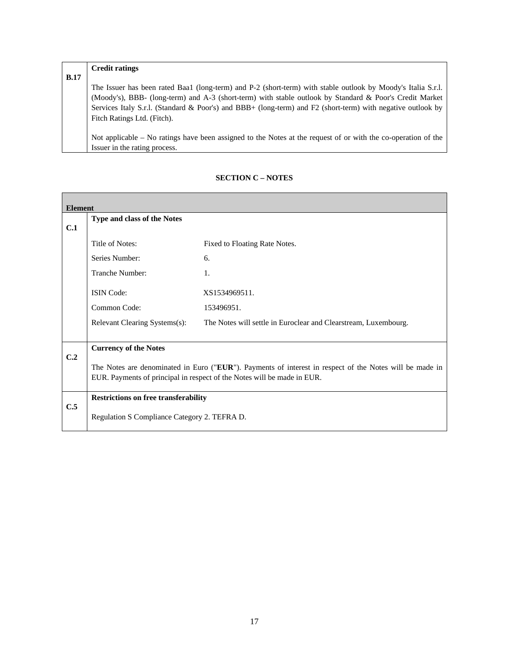|             | <b>Credit ratings</b>                                                                                         |
|-------------|---------------------------------------------------------------------------------------------------------------|
| <b>B.17</b> |                                                                                                               |
|             | The Issuer has been rated Baa1 (long-term) and P-2 (short-term) with stable outlook by Moody's Italia S.r.l.  |
|             | (Moody's), BBB- (long-term) and A-3 (short-term) with stable outlook by Standard & Poor's Credit Market       |
|             | Services Italy S.r.l. (Standard & Poor's) and BBB+ (long-term) and F2 (short-term) with negative outlook by   |
|             | Fitch Ratings Ltd. (Fitch).                                                                                   |
|             |                                                                                                               |
|             | Not applicable – No ratings have been assigned to the Notes at the request of or with the co-operation of the |
|             | Issuer in the rating process.                                                                                 |

| <b>Element</b> |                                                                                                                                                                                    |                                                                 |  |
|----------------|------------------------------------------------------------------------------------------------------------------------------------------------------------------------------------|-----------------------------------------------------------------|--|
| C.1            | Type and class of the Notes                                                                                                                                                        |                                                                 |  |
|                | Title of Notes:                                                                                                                                                                    | Fixed to Floating Rate Notes.                                   |  |
|                | Series Number:                                                                                                                                                                     | 6.                                                              |  |
|                | Tranche Number:                                                                                                                                                                    | 1.                                                              |  |
|                | <b>ISIN</b> Code:                                                                                                                                                                  | XS1534969511.                                                   |  |
|                | Common Code:                                                                                                                                                                       | 153496951.                                                      |  |
|                | Relevant Clearing Systems(s):                                                                                                                                                      | The Notes will settle in Euroclear and Clearstream, Luxembourg. |  |
|                | <b>Currency of the Notes</b>                                                                                                                                                       |                                                                 |  |
| C.2            | The Notes are denominated in Euro ("EUR"). Payments of interest in respect of the Notes will be made in<br>EUR. Payments of principal in respect of the Notes will be made in EUR. |                                                                 |  |
|                | <b>Restrictions on free transferability</b>                                                                                                                                        |                                                                 |  |
| C.5            | Regulation S Compliance Category 2. TEFRA D.                                                                                                                                       |                                                                 |  |

# **SECTION C – NOTES**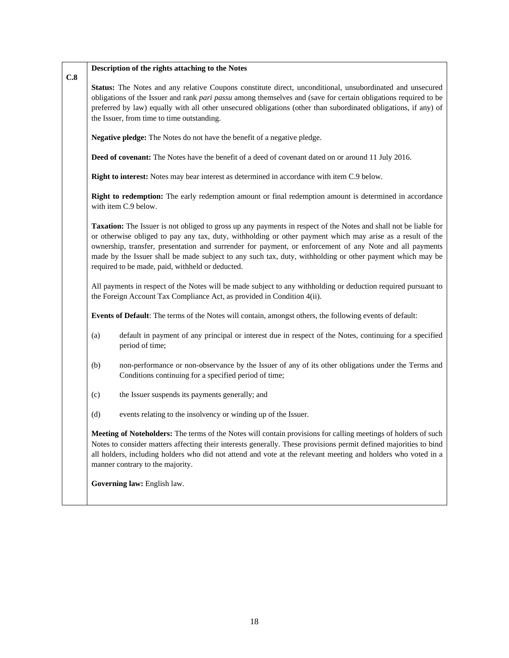#### **C.8 Description of the rights attaching to the Notes**

**Status:** The Notes and any relative Coupons constitute direct, unconditional, unsubordinated and unsecured obligations of the Issuer and rank *pari passu* among themselves and (save for certain obligations required to be preferred by law) equally with all other unsecured obligations (other than subordinated obligations, if any) of the Issuer, from time to time outstanding.

**Negative pledge:** The Notes do not have the benefit of a negative pledge.

**Deed of covenant:** The Notes have the benefit of a deed of covenant dated on or around 11 July 2016.

**Right to interest:** Notes may bear interest as determined in accordance with item C.9 below.

**Right to redemption:** The early redemption amount or final redemption amount is determined in accordance with item C.9 below.

**Taxation:** The Issuer is not obliged to gross up any payments in respect of the Notes and shall not be liable for or otherwise obliged to pay any tax, duty, withholding or other payment which may arise as a result of the ownership, transfer, presentation and surrender for payment, or enforcement of any Note and all payments made by the Issuer shall be made subject to any such tax, duty, withholding or other payment which may be required to be made, paid, withheld or deducted.

All payments in respect of the Notes will be made subject to any withholding or deduction required pursuant to the Foreign Account Tax Compliance Act, as provided in Condition 4(ii).

**Events of Default**: The terms of the Notes will contain, amongst others, the following events of default:

- (a) default in payment of any principal or interest due in respect of the Notes, continuing for a specified period of time;
- (b) non-performance or non-observance by the Issuer of any of its other obligations under the Terms and Conditions continuing for a specified period of time;
- (c) the Issuer suspends its payments generally; and
- (d) events relating to the insolvency or winding up of the Issuer.

**Meeting of Noteholders:** The terms of the Notes will contain provisions for calling meetings of holders of such Notes to consider matters affecting their interests generally. These provisions permit defined majorities to bind all holders, including holders who did not attend and vote at the relevant meeting and holders who voted in a manner contrary to the majority.

**Governing law:** English law.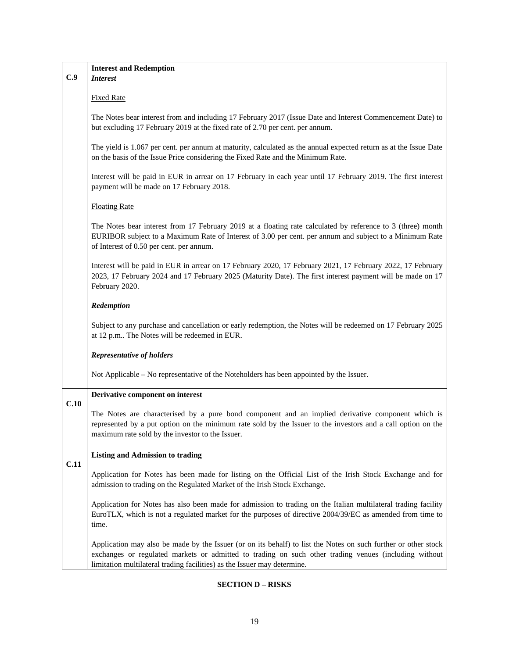| C.9  | <b>Interest and Redemption</b><br><b>Interest</b>                                                                                                                                                                                                                                                   |
|------|-----------------------------------------------------------------------------------------------------------------------------------------------------------------------------------------------------------------------------------------------------------------------------------------------------|
|      | <b>Fixed Rate</b>                                                                                                                                                                                                                                                                                   |
|      | The Notes bear interest from and including 17 February 2017 (Issue Date and Interest Commencement Date) to<br>but excluding 17 February 2019 at the fixed rate of 2.70 per cent. per annum.                                                                                                         |
|      | The yield is 1.067 per cent. per annum at maturity, calculated as the annual expected return as at the Issue Date<br>on the basis of the Issue Price considering the Fixed Rate and the Minimum Rate.                                                                                               |
|      | Interest will be paid in EUR in arrear on 17 February in each year until 17 February 2019. The first interest<br>payment will be made on 17 February 2018.                                                                                                                                          |
|      | <b>Floating Rate</b>                                                                                                                                                                                                                                                                                |
|      | The Notes bear interest from 17 February 2019 at a floating rate calculated by reference to 3 (three) month<br>EURIBOR subject to a Maximum Rate of Interest of 3.00 per cent. per annum and subject to a Minimum Rate<br>of Interest of 0.50 per cent. per annum.                                  |
|      | Interest will be paid in EUR in arrear on 17 February 2020, 17 February 2021, 17 February 2022, 17 February<br>2023, 17 February 2024 and 17 February 2025 (Maturity Date). The first interest payment will be made on 17<br>February 2020.                                                         |
|      | Redemption                                                                                                                                                                                                                                                                                          |
|      | Subject to any purchase and cancellation or early redemption, the Notes will be redeemed on 17 February 2025<br>at 12 p.m The Notes will be redeemed in EUR.                                                                                                                                        |
|      | <b>Representative of holders</b>                                                                                                                                                                                                                                                                    |
|      | Not Applicable – No representative of the Noteholders has been appointed by the Issuer.                                                                                                                                                                                                             |
| C.10 | Derivative component on interest                                                                                                                                                                                                                                                                    |
|      | The Notes are characterised by a pure bond component and an implied derivative component which is<br>represented by a put option on the minimum rate sold by the Issuer to the investors and a call option on the<br>maximum rate sold by the investor to the Issuer.                               |
| C.11 | <b>Listing and Admission to trading</b>                                                                                                                                                                                                                                                             |
|      | Application for Notes has been made for listing on the Official List of the Irish Stock Exchange and for<br>admission to trading on the Regulated Market of the Irish Stock Exchange.                                                                                                               |
|      | Application for Notes has also been made for admission to trading on the Italian multilateral trading facility<br>EuroTLX, which is not a regulated market for the purposes of directive 2004/39/EC as amended from time to<br>time.                                                                |
|      | Application may also be made by the Issuer (or on its behalf) to list the Notes on such further or other stock<br>exchanges or regulated markets or admitted to trading on such other trading venues (including without<br>limitation multilateral trading facilities) as the Issuer may determine. |

Ē

# **SECTION D – RISKS**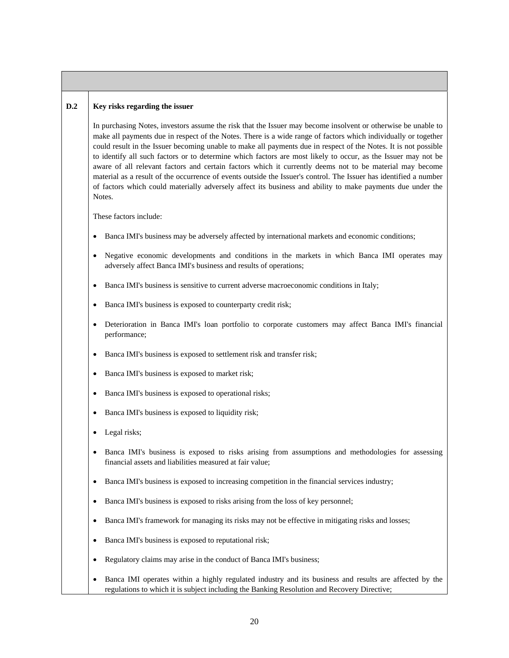#### **D.2 Key risks regarding the issuer**

In purchasing Notes, investors assume the risk that the Issuer may become insolvent or otherwise be unable to make all payments due in respect of the Notes. There is a wide range of factors which individually or together could result in the Issuer becoming unable to make all payments due in respect of the Notes. It is not possible to identify all such factors or to determine which factors are most likely to occur, as the Issuer may not be aware of all relevant factors and certain factors which it currently deems not to be material may become material as a result of the occurrence of events outside the Issuer's control. The Issuer has identified a number of factors which could materially adversely affect its business and ability to make payments due under the Notes.

These factors include:

- Banca IMI's business may be adversely affected by international markets and economic conditions;
- Negative economic developments and conditions in the markets in which Banca IMI operates may adversely affect Banca IMI's business and results of operations;
- Banca IMI's business is sensitive to current adverse macroeconomic conditions in Italy;
- Banca IMI's business is exposed to counterparty credit risk;
- Deterioration in Banca IMI's loan portfolio to corporate customers may affect Banca IMI's financial performance;
- Banca IMI's business is exposed to settlement risk and transfer risk;
- Banca IMI's business is exposed to market risk;
- Banca IMI's business is exposed to operational risks;
- Banca IMI's business is exposed to liquidity risk;
- Legal risks;
- Banca IMI's business is exposed to risks arising from assumptions and methodologies for assessing financial assets and liabilities measured at fair value;
- Banca IMI's business is exposed to increasing competition in the financial services industry;
- Banca IMI's business is exposed to risks arising from the loss of key personnel;
- Banca IMI's framework for managing its risks may not be effective in mitigating risks and losses;
- Banca IMI's business is exposed to reputational risk;
- Regulatory claims may arise in the conduct of Banca IMI's business;
- Banca IMI operates within a highly regulated industry and its business and results are affected by the regulations to which it is subject including the Banking Resolution and Recovery Directive;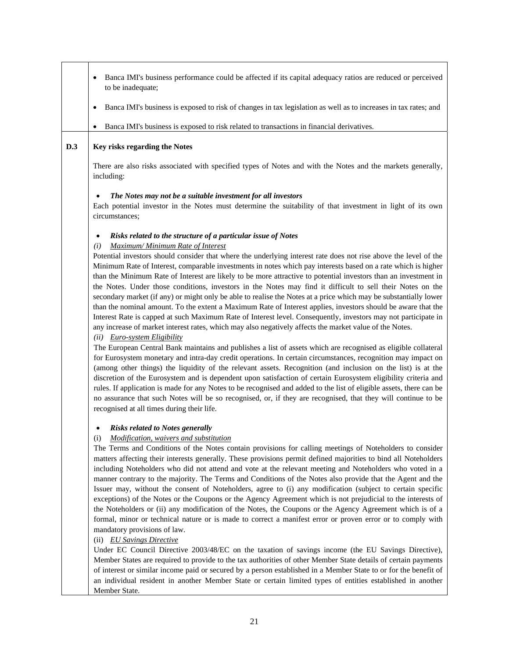| Banca IMI's business performance could be affected if its capital adequacy ratios are reduced or perceived<br>to be inadequate;                                                                                                                                                                                                                                                                                                                                                                                                                                                                                                                                                                                                                                                                                                                                                                                                                                                                                                                                                                                                    |
|------------------------------------------------------------------------------------------------------------------------------------------------------------------------------------------------------------------------------------------------------------------------------------------------------------------------------------------------------------------------------------------------------------------------------------------------------------------------------------------------------------------------------------------------------------------------------------------------------------------------------------------------------------------------------------------------------------------------------------------------------------------------------------------------------------------------------------------------------------------------------------------------------------------------------------------------------------------------------------------------------------------------------------------------------------------------------------------------------------------------------------|
| Banca IMI's business is exposed to risk of changes in tax legislation as well as to increases in tax rates; and                                                                                                                                                                                                                                                                                                                                                                                                                                                                                                                                                                                                                                                                                                                                                                                                                                                                                                                                                                                                                    |
| Banca IMI's business is exposed to risk related to transactions in financial derivatives.<br>٠                                                                                                                                                                                                                                                                                                                                                                                                                                                                                                                                                                                                                                                                                                                                                                                                                                                                                                                                                                                                                                     |
| Key risks regarding the Notes                                                                                                                                                                                                                                                                                                                                                                                                                                                                                                                                                                                                                                                                                                                                                                                                                                                                                                                                                                                                                                                                                                      |
| There are also risks associated with specified types of Notes and with the Notes and the markets generally,<br>including:                                                                                                                                                                                                                                                                                                                                                                                                                                                                                                                                                                                                                                                                                                                                                                                                                                                                                                                                                                                                          |
| The Notes may not be a suitable investment for all investors<br>$\bullet$<br>Each potential investor in the Notes must determine the suitability of that investment in light of its own<br>circumstances;                                                                                                                                                                                                                                                                                                                                                                                                                                                                                                                                                                                                                                                                                                                                                                                                                                                                                                                          |
| Risks related to the structure of a particular issue of Notes<br>$\bullet$                                                                                                                                                                                                                                                                                                                                                                                                                                                                                                                                                                                                                                                                                                                                                                                                                                                                                                                                                                                                                                                         |
| Maximum/ Minimum Rate of Interest<br>(i)<br>Potential investors should consider that where the underlying interest rate does not rise above the level of the<br>Minimum Rate of Interest, comparable investments in notes which pay interests based on a rate which is higher<br>than the Minimum Rate of Interest are likely to be more attractive to potential investors than an investment in<br>the Notes. Under those conditions, investors in the Notes may find it difficult to sell their Notes on the<br>secondary market (if any) or might only be able to realise the Notes at a price which may be substantially lower<br>than the nominal amount. To the extent a Maximum Rate of Interest applies, investors should be aware that the<br>Interest Rate is capped at such Maximum Rate of Interest level. Consequently, investors may not participate in<br>any increase of market interest rates, which may also negatively affects the market value of the Notes.<br>$(ii)$ Euro-system Eligibility                                                                                                                 |
| The European Central Bank maintains and publishes a list of assets which are recognised as eligible collateral<br>for Eurosystem monetary and intra-day credit operations. In certain circumstances, recognition may impact on<br>(among other things) the liquidity of the relevant assets. Recognition (and inclusion on the list) is at the<br>discretion of the Eurosystem and is dependent upon satisfaction of certain Eurosystem eligibility criteria and<br>rules. If application is made for any Notes to be recognised and added to the list of eligible assets, there can be<br>no assurance that such Notes will be so recognised, or, if they are recognised, that they will continue to be<br>recognised at all times during their life.                                                                                                                                                                                                                                                                                                                                                                             |
| <b>Risks related to Notes generally</b>                                                                                                                                                                                                                                                                                                                                                                                                                                                                                                                                                                                                                                                                                                                                                                                                                                                                                                                                                                                                                                                                                            |
| Modification, waivers and substitution<br>(i)<br>The Terms and Conditions of the Notes contain provisions for calling meetings of Noteholders to consider<br>matters affecting their interests generally. These provisions permit defined majorities to bind all Noteholders<br>including Noteholders who did not attend and vote at the relevant meeting and Noteholders who voted in a<br>manner contrary to the majority. The Terms and Conditions of the Notes also provide that the Agent and the<br>Issuer may, without the consent of Noteholders, agree to (i) any modification (subject to certain specific<br>exceptions) of the Notes or the Coupons or the Agency Agreement which is not prejudicial to the interests of<br>the Noteholders or (ii) any modification of the Notes, the Coupons or the Agency Agreement which is of a<br>formal, minor or technical nature or is made to correct a manifest error or proven error or to comply with<br>mandatory provisions of law.<br>(ii) EU Savings Directive<br>Under EC Council Directive 2003/48/EC on the taxation of savings income (the EU Savings Directive), |
| Member States are required to provide to the tax authorities of other Member State details of certain payments<br>of interest or similar income paid or secured by a person established in a Member State to or for the benefit of<br>an individual resident in another Member State or certain limited types of entities established in another                                                                                                                                                                                                                                                                                                                                                                                                                                                                                                                                                                                                                                                                                                                                                                                   |
|                                                                                                                                                                                                                                                                                                                                                                                                                                                                                                                                                                                                                                                                                                                                                                                                                                                                                                                                                                                                                                                                                                                                    |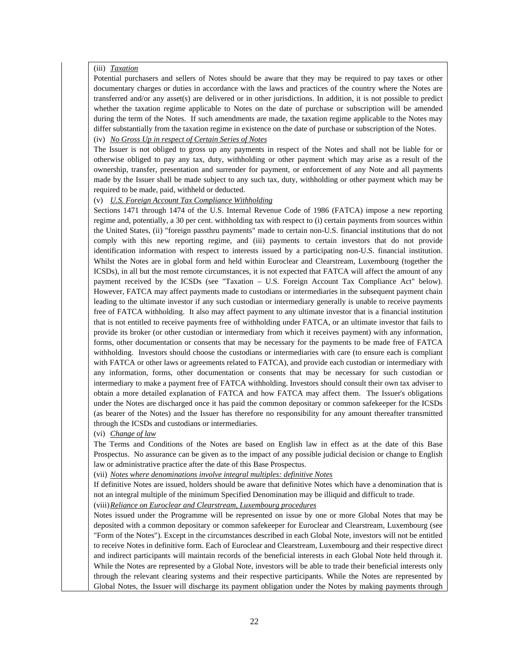## (iii) *Taxation*

Potential purchasers and sellers of Notes should be aware that they may be required to pay taxes or other documentary charges or duties in accordance with the laws and practices of the country where the Notes are transferred and/or any asset(s) are delivered or in other jurisdictions. In addition, it is not possible to predict whether the taxation regime applicable to Notes on the date of purchase or subscription will be amended during the term of the Notes. If such amendments are made, the taxation regime applicable to the Notes may differ substantially from the taxation regime in existence on the date of purchase or subscription of the Notes.

# (iv) *No Gross Up in respect of Certain Series of Notes*

The Issuer is not obliged to gross up any payments in respect of the Notes and shall not be liable for or otherwise obliged to pay any tax, duty, withholding or other payment which may arise as a result of the ownership, transfer, presentation and surrender for payment, or enforcement of any Note and all payments made by the Issuer shall be made subject to any such tax, duty, withholding or other payment which may be required to be made, paid, withheld or deducted.

#### (v) *U.S. Foreign Account Tax Compliance Withholding*

Sections 1471 through 1474 of the U.S. Internal Revenue Code of 1986 (FATCA) impose a new reporting regime and, potentially, a 30 per cent. withholding tax with respect to (i) certain payments from sources within the United States, (ii) "foreign passthru payments" made to certain non-U.S. financial institutions that do not comply with this new reporting regime, and (iii) payments to certain investors that do not provide identification information with respect to interests issued by a participating non-U.S. financial institution. Whilst the Notes are in global form and held within Euroclear and Clearstream, Luxembourg (together the ICSDs), in all but the most remote circumstances, it is not expected that FATCA will affect the amount of any payment received by the ICSDs (see "Taxation – U.S. Foreign Account Tax Compliance Act" below). However, FATCA may affect payments made to custodians or intermediaries in the subsequent payment chain leading to the ultimate investor if any such custodian or intermediary generally is unable to receive payments free of FATCA withholding. It also may affect payment to any ultimate investor that is a financial institution that is not entitled to receive payments free of withholding under FATCA, or an ultimate investor that fails to provide its broker (or other custodian or intermediary from which it receives payment) with any information, forms, other documentation or consents that may be necessary for the payments to be made free of FATCA withholding. Investors should choose the custodians or intermediaries with care (to ensure each is compliant with FATCA or other laws or agreements related to FATCA), and provide each custodian or intermediary with any information, forms, other documentation or consents that may be necessary for such custodian or intermediary to make a payment free of FATCA withholding. Investors should consult their own tax adviser to obtain a more detailed explanation of FATCA and how FATCA may affect them. The Issuer's obligations under the Notes are discharged once it has paid the common depositary or common safekeeper for the ICSDs (as bearer of the Notes) and the Issuer has therefore no responsibility for any amount thereafter transmitted through the ICSDs and custodians or intermediaries.

#### (vi) *Change of law*

The Terms and Conditions of the Notes are based on English law in effect as at the date of this Base Prospectus. No assurance can be given as to the impact of any possible judicial decision or change to English law or administrative practice after the date of this Base Prospectus.

(vii) *Notes where denominations involve integral multiples: definitive Notes*

If definitive Notes are issued, holders should be aware that definitive Notes which have a denomination that is not an integral multiple of the minimum Specified Denomination may be illiquid and difficult to trade.

(viii)*Reliance on Euroclear and Clearstream, Luxembourg procedures*

Notes issued under the Programme will be represented on issue by one or more Global Notes that may be deposited with a common depositary or common safekeeper for Euroclear and Clearstream, Luxembourg (see "Form of the Notes"). Except in the circumstances described in each Global Note, investors will not be entitled to receive Notes in definitive form. Each of Euroclear and Clearstream, Luxembourg and their respective direct and indirect participants will maintain records of the beneficial interests in each Global Note held through it. While the Notes are represented by a Global Note, investors will be able to trade their beneficial interests only through the relevant clearing systems and their respective participants. While the Notes are represented by Global Notes, the Issuer will discharge its payment obligation under the Notes by making payments through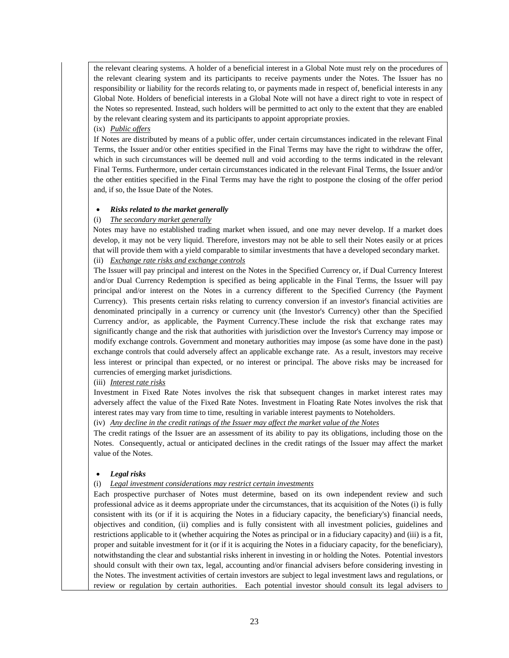the relevant clearing systems. A holder of a beneficial interest in a Global Note must rely on the procedures of the relevant clearing system and its participants to receive payments under the Notes. The Issuer has no responsibility or liability for the records relating to, or payments made in respect of, beneficial interests in any Global Note. Holders of beneficial interests in a Global Note will not have a direct right to vote in respect of the Notes so represented. Instead, such holders will be permitted to act only to the extent that they are enabled by the relevant clearing system and its participants to appoint appropriate proxies.

#### (ix) *Public offers*

If Notes are distributed by means of a public offer, under certain circumstances indicated in the relevant Final Terms, the Issuer and/or other entities specified in the Final Terms may have the right to withdraw the offer, which in such circumstances will be deemed null and void according to the terms indicated in the relevant Final Terms. Furthermore, under certain circumstances indicated in the relevant Final Terms, the Issuer and/or the other entities specified in the Final Terms may have the right to postpone the closing of the offer period and, if so, the Issue Date of the Notes.

## *Risks related to the market generally*

## (i) *The secondary market generally*

Notes may have no established trading market when issued, and one may never develop. If a market does develop, it may not be very liquid. Therefore, investors may not be able to sell their Notes easily or at prices that will provide them with a yield comparable to similar investments that have a developed secondary market. (ii) *Exchange rate risks and exchange controls*

The Issuer will pay principal and interest on the Notes in the Specified Currency or, if Dual Currency Interest and/or Dual Currency Redemption is specified as being applicable in the Final Terms, the Issuer will pay principal and/or interest on the Notes in a currency different to the Specified Currency (the Payment Currency). This presents certain risks relating to currency conversion if an investor's financial activities are denominated principally in a currency or currency unit (the Investor's Currency) other than the Specified Currency and/or, as applicable, the Payment Currency.These include the risk that exchange rates may significantly change and the risk that authorities with jurisdiction over the Investor's Currency may impose or modify exchange controls. Government and monetary authorities may impose (as some have done in the past) exchange controls that could adversely affect an applicable exchange rate. As a result, investors may receive less interest or principal than expected, or no interest or principal. The above risks may be increased for currencies of emerging market jurisdictions.

#### (iii) *Interest rate risks*

Investment in Fixed Rate Notes involves the risk that subsequent changes in market interest rates may adversely affect the value of the Fixed Rate Notes. Investment in Floating Rate Notes involves the risk that interest rates may vary from time to time, resulting in variable interest payments to Noteholders.

(iv) *Any decline in the credit ratings of the Issuer may affect the market value of the Notes*

The credit ratings of the Issuer are an assessment of its ability to pay its obligations, including those on the Notes. Consequently, actual or anticipated declines in the credit ratings of the Issuer may affect the market value of the Notes.

# *Legal risks*

#### (i) *Legal investment considerations may restrict certain investments*

Each prospective purchaser of Notes must determine, based on its own independent review and such professional advice as it deems appropriate under the circumstances, that its acquisition of the Notes (i) is fully consistent with its (or if it is acquiring the Notes in a fiduciary capacity, the beneficiary's) financial needs, objectives and condition, (ii) complies and is fully consistent with all investment policies, guidelines and restrictions applicable to it (whether acquiring the Notes as principal or in a fiduciary capacity) and (iii) is a fit, proper and suitable investment for it (or if it is acquiring the Notes in a fiduciary capacity, for the beneficiary), notwithstanding the clear and substantial risks inherent in investing in or holding the Notes. Potential investors should consult with their own tax, legal, accounting and/or financial advisers before considering investing in the Notes. The investment activities of certain investors are subject to legal investment laws and regulations, or review or regulation by certain authorities. Each potential investor should consult its legal advisers to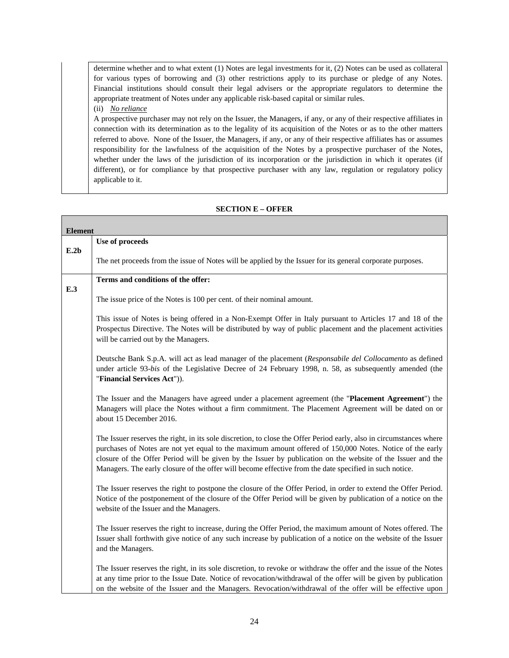determine whether and to what extent (1) Notes are legal investments for it, (2) Notes can be used as collateral for various types of borrowing and (3) other restrictions apply to its purchase or pledge of any Notes. Financial institutions should consult their legal advisers or the appropriate regulators to determine the appropriate treatment of Notes under any applicable risk-based capital or similar rules. (ii) *No reliance*

A prospective purchaser may not rely on the Issuer, the Managers, if any, or any of their respective affiliates in connection with its determination as to the legality of its acquisition of the Notes or as to the other matters referred to above. None of the Issuer, the Managers, if any, or any of their respective affiliates has or assumes responsibility for the lawfulness of the acquisition of the Notes by a prospective purchaser of the Notes, whether under the laws of the jurisdiction of its incorporation or the jurisdiction in which it operates (if different), or for compliance by that prospective purchaser with any law, regulation or regulatory policy applicable to it.

## **SECTION E – OFFER**

| <b>Element</b> |                                                                                                                                                                                                                                                                                                                                                                                                                                                          |  |  |
|----------------|----------------------------------------------------------------------------------------------------------------------------------------------------------------------------------------------------------------------------------------------------------------------------------------------------------------------------------------------------------------------------------------------------------------------------------------------------------|--|--|
|                | Use of proceeds                                                                                                                                                                                                                                                                                                                                                                                                                                          |  |  |
| E.2b           | The net proceeds from the issue of Notes will be applied by the Issuer for its general corporate purposes.                                                                                                                                                                                                                                                                                                                                               |  |  |
|                | Terms and conditions of the offer:                                                                                                                                                                                                                                                                                                                                                                                                                       |  |  |
| E.3            | The issue price of the Notes is 100 per cent. of their nominal amount.                                                                                                                                                                                                                                                                                                                                                                                   |  |  |
|                | This issue of Notes is being offered in a Non-Exempt Offer in Italy pursuant to Articles 17 and 18 of the<br>Prospectus Directive. The Notes will be distributed by way of public placement and the placement activities<br>will be carried out by the Managers.                                                                                                                                                                                         |  |  |
|                | Deutsche Bank S.p.A. will act as lead manager of the placement (Responsabile del Collocamento as defined<br>under article 93-bis of the Legislative Decree of 24 February 1998, n. 58, as subsequently amended (the<br>"Financial Services Act")).                                                                                                                                                                                                       |  |  |
|                | The Issuer and the Managers have agreed under a placement agreement (the "Placement Agreement") the<br>Managers will place the Notes without a firm commitment. The Placement Agreement will be dated on or<br>about 15 December 2016.                                                                                                                                                                                                                   |  |  |
|                | The Issuer reserves the right, in its sole discretion, to close the Offer Period early, also in circumstances where<br>purchases of Notes are not yet equal to the maximum amount offered of 150,000 Notes. Notice of the early<br>closure of the Offer Period will be given by the Issuer by publication on the website of the Issuer and the<br>Managers. The early closure of the offer will become effective from the date specified in such notice. |  |  |
|                | The Issuer reserves the right to postpone the closure of the Offer Period, in order to extend the Offer Period.<br>Notice of the postponement of the closure of the Offer Period will be given by publication of a notice on the<br>website of the Issuer and the Managers.                                                                                                                                                                              |  |  |
|                | The Issuer reserves the right to increase, during the Offer Period, the maximum amount of Notes offered. The<br>Issuer shall forthwith give notice of any such increase by publication of a notice on the website of the Issuer<br>and the Managers.                                                                                                                                                                                                     |  |  |
|                | The Issuer reserves the right, in its sole discretion, to revoke or withdraw the offer and the issue of the Notes<br>at any time prior to the Issue Date. Notice of revocation/withdrawal of the offer will be given by publication<br>on the website of the Issuer and the Managers. Revocation/withdrawal of the offer will be effective upon                                                                                                          |  |  |